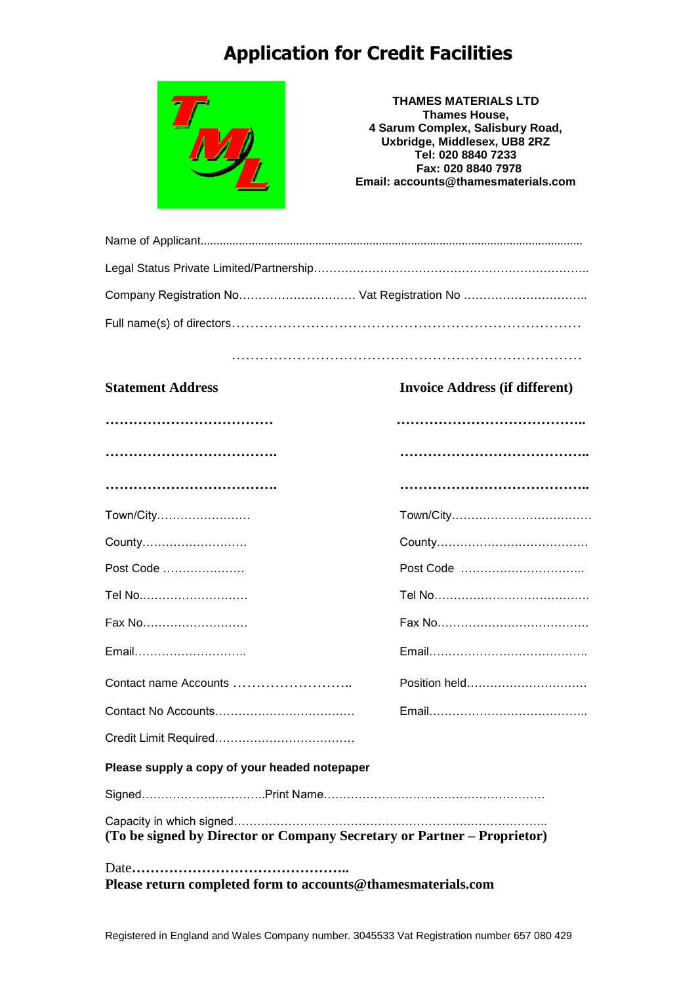# **Application for Credit Facilities**



**THAMES MATERIALS LTD Thames House, 4 Sarum Complex, Salisbury Road, Uxbridge, Middlesex, UB8 2RZ Tel: 020 8840 7233 Fax: 020 8840 7978 Email: accounts@thamesmaterials.com**

| Company Registration No Vat Registration No |
|---------------------------------------------|
|                                             |

#### …………………………………………………………………

#### **Statement Address Invoice Address (if different)**

| Town/City                                                               |               |
|-------------------------------------------------------------------------|---------------|
| County                                                                  |               |
| Post Code                                                               |               |
| Tel No                                                                  |               |
| Fax No                                                                  |               |
| Email                                                                   |               |
| Contact name Accounts                                                   | Position held |
|                                                                         |               |
|                                                                         |               |
| Please supply a copy of your headed notepaper                           |               |
|                                                                         |               |
| (To be signed by Director or Company Secretary or Partner – Proprietor) |               |
| Please return completed form to accounts@thamesmaterials.com            |               |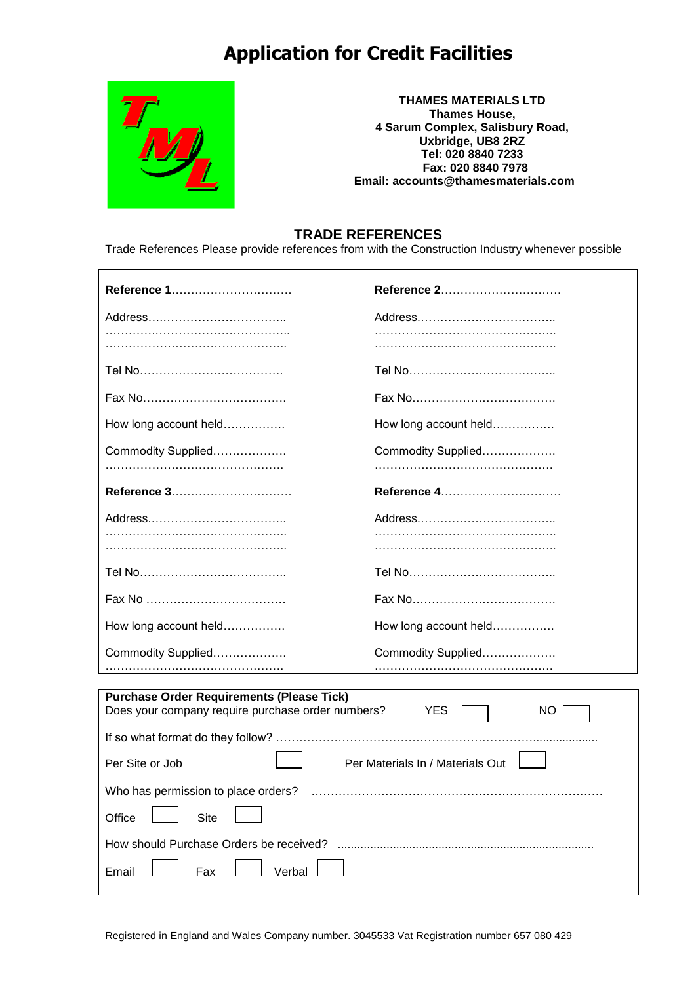## **Application for Credit Facilities**



 $\overline{\phantom{a}}$ 

**THAMES MATERIALS LTD Thames House, 4 Sarum Complex, Salisbury Road, Uxbridge, UB8 2RZ Tel: 020 8840 7233 Fax: 020 8840 7978 Email: accounts@thamesmaterials.com**

### **TRADE REFERENCES**

Trade References Please provide references from with the Construction Industry whenever possible

| Reference 1                                                                                                               | Reference 2           |  |
|---------------------------------------------------------------------------------------------------------------------------|-----------------------|--|
|                                                                                                                           |                       |  |
|                                                                                                                           |                       |  |
|                                                                                                                           |                       |  |
|                                                                                                                           |                       |  |
| How long account held                                                                                                     | How long account held |  |
| Commodity Supplied                                                                                                        | Commodity Supplied    |  |
| Reference 3                                                                                                               | Reference 4           |  |
|                                                                                                                           |                       |  |
|                                                                                                                           |                       |  |
|                                                                                                                           |                       |  |
|                                                                                                                           |                       |  |
|                                                                                                                           |                       |  |
| How long account held                                                                                                     | How long account held |  |
| Commodity Supplied                                                                                                        | Commodity Supplied    |  |
|                                                                                                                           |                       |  |
| <b>Purchase Order Requirements (Please Tick)</b><br>Does your company require purchase order numbers?<br><b>YES</b><br>NO |                       |  |
|                                                                                                                           |                       |  |
| Per Materials In / Materials Out<br>Per Site or Job                                                                       |                       |  |
| Who has permission to place orders?                                                                                       |                       |  |
| Office<br>Site                                                                                                            |                       |  |
| How should Purchase Orders be received?                                                                                   |                       |  |
| Email<br>Fax<br>Verbal                                                                                                    |                       |  |